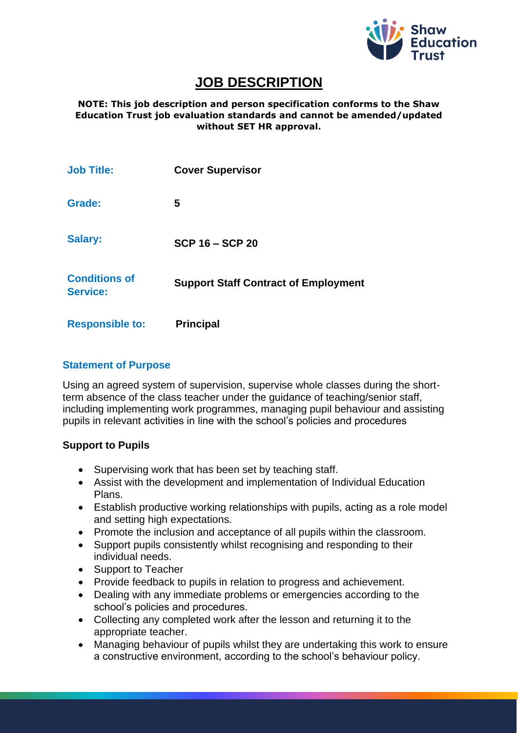

# **JOB DESCRIPTION**

**NOTE: This job description and person specification conforms to the Shaw Education Trust job evaluation standards and cannot be amended/updated without SET HR approval.**

| <b>Job Title:</b>                       | <b>Cover Supervisor</b>                     |
|-----------------------------------------|---------------------------------------------|
| Grade:                                  | 5                                           |
| <b>Salary:</b>                          | <b>SCP 16 - SCP 20</b>                      |
| <b>Conditions of</b><br><b>Service:</b> | <b>Support Staff Contract of Employment</b> |
| <b>Responsible to:</b>                  | <b>Principal</b>                            |

#### **Statement of Purpose**

Using an agreed system of supervision, supervise whole classes during the shortterm absence of the class teacher under the guidance of teaching/senior staff, including implementing work programmes, managing pupil behaviour and assisting pupils in relevant activities in line with the school's policies and procedures

### **Support to Pupils**

- Supervising work that has been set by teaching staff.
- Assist with the development and implementation of Individual Education Plans.
- Establish productive working relationships with pupils, acting as a role model and setting high expectations.
- Promote the inclusion and acceptance of all pupils within the classroom.
- Support pupils consistently whilst recognising and responding to their individual needs.
- Support to Teacher
- Provide feedback to pupils in relation to progress and achievement.
- Dealing with any immediate problems or emergencies according to the school's policies and procedures.
- Collecting any completed work after the lesson and returning it to the appropriate teacher.
- Managing behaviour of pupils whilst they are undertaking this work to ensure a constructive environment, according to the school's behaviour policy.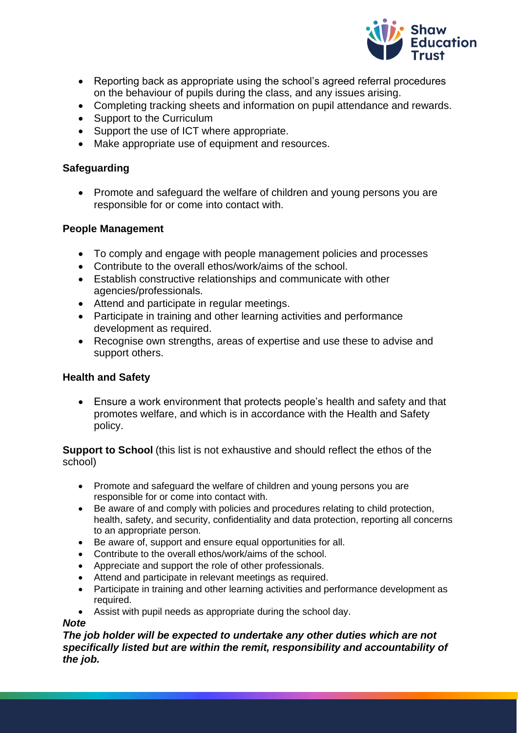

- Reporting back as appropriate using the school's agreed referral procedures on the behaviour of pupils during the class, and any issues arising.
- Completing tracking sheets and information on pupil attendance and rewards.
- Support to the Curriculum
- Support the use of ICT where appropriate.
- Make appropriate use of equipment and resources.

### **Safeguarding**

• Promote and safeguard the welfare of children and young persons you are responsible for or come into contact with.

### **People Management**

- To comply and engage with people management policies and processes
- Contribute to the overall ethos/work/aims of the school.
- Establish constructive relationships and communicate with other agencies/professionals.
- Attend and participate in regular meetings.
- Participate in training and other learning activities and performance development as required.
- Recognise own strengths, areas of expertise and use these to advise and support others.

### **Health and Safety**

• Ensure a work environment that protects people's health and safety and that promotes welfare, and which is in accordance with the Health and Safety policy.

**Support to School** (this list is not exhaustive and should reflect the ethos of the school)

- Promote and safeguard the welfare of children and young persons you are responsible for or come into contact with.
- Be aware of and comply with policies and procedures relating to child protection, health, safety, and security, confidentiality and data protection, reporting all concerns to an appropriate person.
- Be aware of, support and ensure equal opportunities for all.
- Contribute to the overall ethos/work/aims of the school.
- Appreciate and support the role of other professionals.
- Attend and participate in relevant meetings as required.
- Participate in training and other learning activities and performance development as required.
- Assist with pupil needs as appropriate during the school day.

#### *Note*

*The job holder will be expected to undertake any other duties which are not specifically listed but are within the remit, responsibility and accountability of the job.*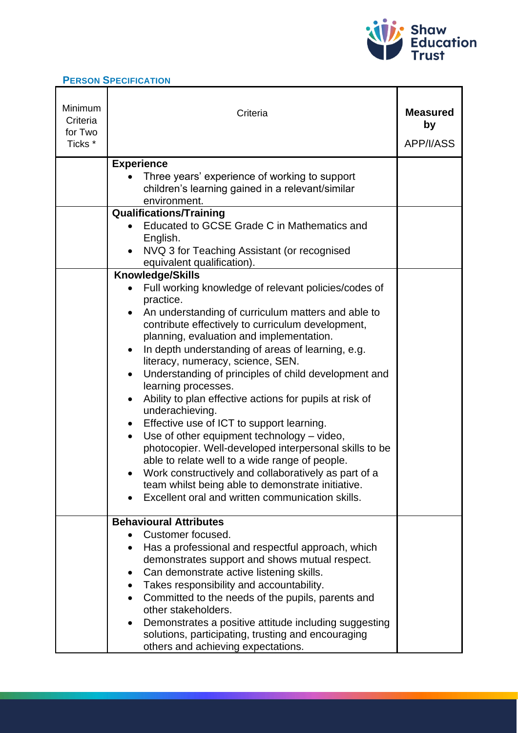

 $\mathbf{r}$ 

## **PERSON SPECIFICATION**

| Minimum<br>Criteria<br>for Two<br>Ticks <sup>*</sup> | Criteria                                                                                                                                                                                                                                                                                                                                                                                                                                                                                                                                                                                                                                                                                                                                                                                                                                                                           | <b>Measured</b><br>by<br>APP/I/ASS |
|------------------------------------------------------|------------------------------------------------------------------------------------------------------------------------------------------------------------------------------------------------------------------------------------------------------------------------------------------------------------------------------------------------------------------------------------------------------------------------------------------------------------------------------------------------------------------------------------------------------------------------------------------------------------------------------------------------------------------------------------------------------------------------------------------------------------------------------------------------------------------------------------------------------------------------------------|------------------------------------|
|                                                      | <b>Experience</b><br>Three years' experience of working to support<br>children's learning gained in a relevant/similar<br>environment.                                                                                                                                                                                                                                                                                                                                                                                                                                                                                                                                                                                                                                                                                                                                             |                                    |
|                                                      | <b>Qualifications/Training</b><br>Educated to GCSE Grade C in Mathematics and<br>English.<br>NVQ 3 for Teaching Assistant (or recognised<br>equivalent qualification).                                                                                                                                                                                                                                                                                                                                                                                                                                                                                                                                                                                                                                                                                                             |                                    |
|                                                      | <b>Knowledge/Skills</b><br>Full working knowledge of relevant policies/codes of<br>practice.<br>An understanding of curriculum matters and able to<br>contribute effectively to curriculum development,<br>planning, evaluation and implementation.<br>In depth understanding of areas of learning, e.g.<br>literacy, numeracy, science, SEN.<br>Understanding of principles of child development and<br>learning processes.<br>Ability to plan effective actions for pupils at risk of<br>underachieving.<br>Effective use of ICT to support learning.<br>Use of other equipment technology - video,<br>photocopier. Well-developed interpersonal skills to be<br>able to relate well to a wide range of people.<br>Work constructively and collaboratively as part of a<br>team whilst being able to demonstrate initiative.<br>Excellent oral and written communication skills. |                                    |
|                                                      | <b>Behavioural Attributes</b><br>Customer focused.<br>Has a professional and respectful approach, which<br>demonstrates support and shows mutual respect.<br>Can demonstrate active listening skills.<br>Takes responsibility and accountability.<br>Committed to the needs of the pupils, parents and<br>other stakeholders.<br>Demonstrates a positive attitude including suggesting<br>solutions, participating, trusting and encouraging<br>others and achieving expectations.                                                                                                                                                                                                                                                                                                                                                                                                 |                                    |